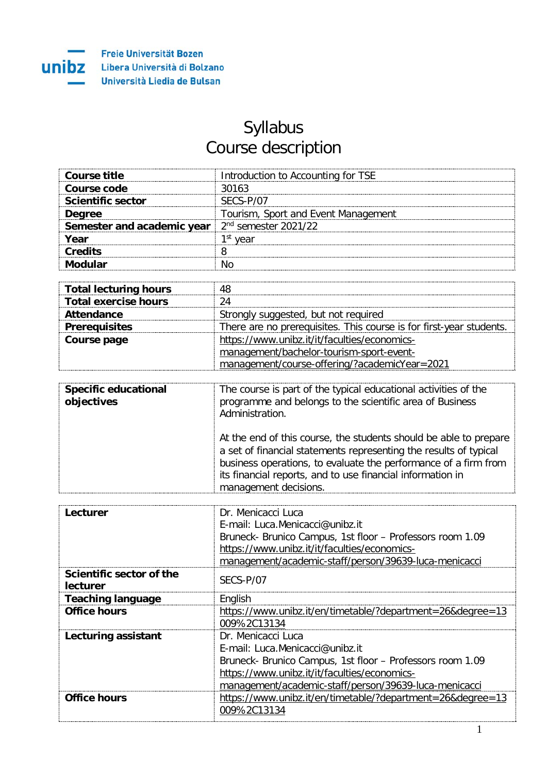## Syllabus Course description

| Course title                                                | Introduction to Accounting for TSE  |
|-------------------------------------------------------------|-------------------------------------|
| Course code                                                 | 30163                               |
| <b>Scientific sector</b>                                    | SECS-P/07                           |
| <b>Degree</b>                                               | Tourism, Sport and Event Management |
| <b>Semester and academic year</b> $2^{nd}$ semester 2021/22 |                                     |
| Year                                                        | 1 <sup>st</sup> vear                |
| Credits                                                     |                                     |
|                                                             |                                     |

| <b>Total lecturing hours</b> | 48                                                                  |
|------------------------------|---------------------------------------------------------------------|
| <b>Total exercise hours</b>  | 24                                                                  |
| Attendance                   | Strongly suggested, but not required                                |
| <b>Prerequisites</b>         | There are no prerequisites. This course is for first-year students. |
| Course page                  | https://www.unibz.it/it/faculties/economics-                        |
|                              | management/bachelor-tourism-sport-event-                            |
|                              | management/course-offering/?academicYear=2021                       |

| <b>Specific educational</b><br>objectives | The course is part of the typical educational activities of the<br>programme and belongs to the scientific area of Business<br>Administration.                                                                                                                                                   |
|-------------------------------------------|--------------------------------------------------------------------------------------------------------------------------------------------------------------------------------------------------------------------------------------------------------------------------------------------------|
|                                           | At the end of this course, the students should be able to prepare<br>a set of financial statements representing the results of typical<br>business operations, to evaluate the performance of a firm from<br>its financial reports, and to use financial information in<br>management decisions. |

| Lecturer                             | Dr. Menicacci Luca                                         |
|--------------------------------------|------------------------------------------------------------|
|                                      | E-mail: Luca.Menicacci@unibz.it                            |
|                                      | Bruneck- Brunico Campus, 1st floor - Professors room 1.09  |
|                                      | https://www.unibz.it/it/faculties/economics-               |
|                                      | management/academic-staff/person/39639-luca-menicacci      |
| Scientific sector of the<br>lecturer | SFCS-P/07                                                  |
| <b>Teaching language</b>             | English                                                    |
| <b>Office hours</b>                  | https://www.unibz.it/en/timetable/?department=26&degree=13 |
|                                      | 009%2C13134                                                |
| Lecturing assistant                  | Dr. Menicacci Luca                                         |
|                                      | F-mail: Luca Menicacci@unibz.it                            |
|                                      | Bruneck- Brunico Campus, 1st floor - Professors room 1.09  |
|                                      | https://www.unibz.it/it/faculties/economics-               |
|                                      | management/academic-staff/person/39639-luca-menicacci      |
| <b>Office hours</b>                  | https://www.unibz.it/en/timetable/?department=26&degree=13 |
|                                      | 009%2C13134                                                |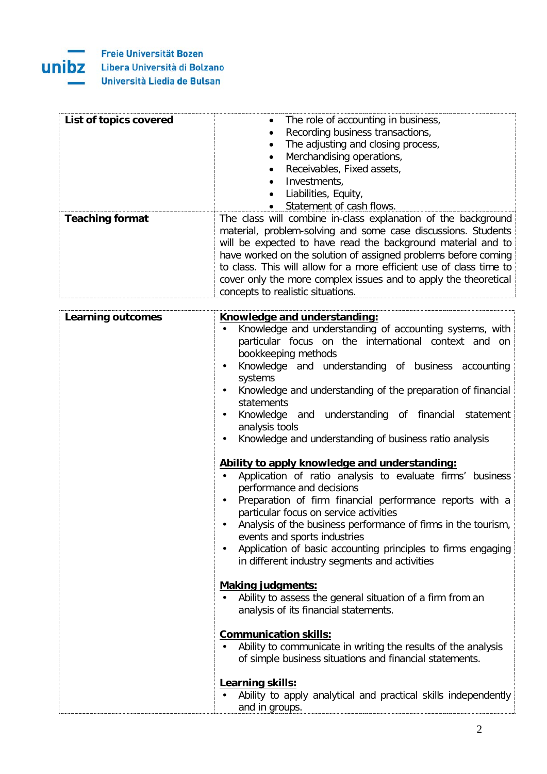

| List of topics covered | The role of accounting in business,                                                                                                                                                                                                                                                                                                                                                                                                            |
|------------------------|------------------------------------------------------------------------------------------------------------------------------------------------------------------------------------------------------------------------------------------------------------------------------------------------------------------------------------------------------------------------------------------------------------------------------------------------|
|                        | Recording business transactions,                                                                                                                                                                                                                                                                                                                                                                                                               |
|                        | The adjusting and closing process,                                                                                                                                                                                                                                                                                                                                                                                                             |
|                        | Merchandising operations,                                                                                                                                                                                                                                                                                                                                                                                                                      |
|                        | Receivables, Fixed assets,                                                                                                                                                                                                                                                                                                                                                                                                                     |
|                        | Investments,                                                                                                                                                                                                                                                                                                                                                                                                                                   |
|                        | Liabilities, Equity,                                                                                                                                                                                                                                                                                                                                                                                                                           |
|                        | Statement of cash flows.                                                                                                                                                                                                                                                                                                                                                                                                                       |
| <b>Teaching format</b> | The class will combine in-class explanation of the background<br>material, problem-solving and some case discussions. Students<br>will be expected to have read the background material and to<br>have worked on the solution of assigned problems before coming<br>to class. This will allow for a more efficient use of class time to<br>cover only the more complex issues and to apply the theoretical<br>concepts to realistic situations |

| <b>Learning outcomes</b> | Knowledge and understanding:                                                                         |
|--------------------------|------------------------------------------------------------------------------------------------------|
|                          | Knowledge and understanding of accounting systems, with                                              |
|                          | particular focus on the international context and on                                                 |
|                          | bookkeeping methods                                                                                  |
|                          | Knowledge and understanding of business accounting<br>$\bullet$                                      |
|                          | systems                                                                                              |
|                          | Knowledge and understanding of the preparation of financial                                          |
|                          | statements                                                                                           |
|                          | Knowledge and understanding of financial statement<br>$\bullet$                                      |
|                          | analysis tools                                                                                       |
|                          | Knowledge and understanding of business ratio analysis                                               |
|                          |                                                                                                      |
|                          | Ability to apply knowledge and understanding:                                                        |
|                          | Application of ratio analysis to evaluate firms' business                                            |
|                          | performance and decisions<br>$\bullet$                                                               |
|                          | Preparation of firm financial performance reports with a<br>particular focus on service activities   |
|                          | Analysis of the business performance of firms in the tourism,<br>$\bullet$                           |
|                          | events and sports industries                                                                         |
|                          | Application of basic accounting principles to firms engaging<br>$\bullet$                            |
|                          | in different industry segments and activities                                                        |
|                          |                                                                                                      |
|                          | <b>Making judgments:</b>                                                                             |
|                          | Ability to assess the general situation of a firm from an<br>$\bullet$                               |
|                          | analysis of its financial statements.                                                                |
|                          |                                                                                                      |
|                          | <b>Communication skills:</b>                                                                         |
|                          | Ability to communicate in writing the results of the analysis                                        |
|                          | of simple business situations and financial statements.                                              |
|                          |                                                                                                      |
|                          |                                                                                                      |
|                          |                                                                                                      |
|                          | Learning skills:<br>Ability to apply analytical and practical skills independently<br>and in groups. |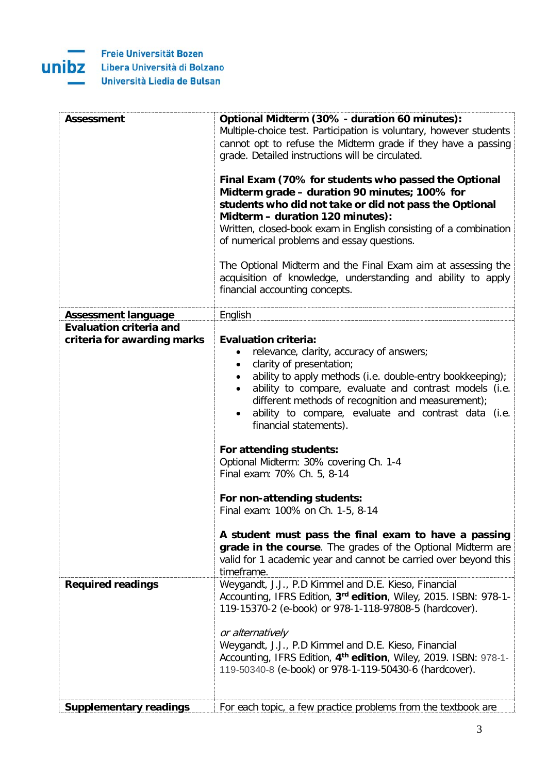

| Assessment                     | Optional Midterm (30% - duration 60 minutes):                                  |
|--------------------------------|--------------------------------------------------------------------------------|
|                                | Multiple-choice test. Participation is voluntary, however students             |
|                                | cannot opt to refuse the Midterm grade if they have a passing                  |
|                                | grade. Detailed instructions will be circulated.                               |
|                                | Final Exam (70% for students who passed the Optional                           |
|                                | Midterm grade - duration 90 minutes; 100% for                                  |
|                                | students who did not take or did not pass the Optional                         |
|                                | Midterm - duration 120 minutes):                                               |
|                                | Written, closed-book exam in English consisting of a combination               |
|                                | of numerical problems and essay questions.                                     |
|                                | The Optional Midterm and the Final Exam aim at assessing the                   |
|                                | acquisition of knowledge, understanding and ability to apply                   |
|                                | financial accounting concepts.                                                 |
| <b>Assessment language</b>     | English                                                                        |
| <b>Evaluation criteria and</b> |                                                                                |
| criteria for awarding marks    | <b>Evaluation criteria:</b><br>relevance, clarity, accuracy of answers;<br>٠   |
|                                | clarity of presentation;<br>$\bullet$                                          |
|                                | ability to apply methods (i.e. double-entry bookkeeping);<br>$\bullet$         |
|                                | ability to compare, evaluate and contrast models (i.e.                         |
|                                | different methods of recognition and measurement);                             |
|                                | ability to compare, evaluate and contrast data (i.e.                           |
|                                | financial statements).                                                         |
|                                | For attending students:                                                        |
|                                | Optional Midterm: 30% covering Ch. 1-4                                         |
|                                | Final exam: 70% Ch. 5, 8-14                                                    |
|                                | For non-attending students:                                                    |
|                                | Final exam: 100% on Ch. 1-5, 8-14                                              |
|                                | A student must pass the final exam to have a passing                           |
|                                | grade in the course. The grades of the Optional Midterm are                    |
|                                | valid for 1 academic year and cannot be carried over beyond this<br>timeframe. |
| <b>Required readings</b>       | Weygandt, J.J., P.D Kimmel and D.E. Kieso, Financial                           |
|                                | Accounting, IFRS Edition, 3rd edition, Wiley, 2015. ISBN: 978-1-               |
|                                | 119-15370-2 (e-book) or 978-1-118-97808-5 (hardcover).                         |
|                                | or alternatively                                                               |
|                                | Weygandt, J.J., P.D Kimmel and D.E. Kieso, Financial                           |
|                                | Accounting, IFRS Edition, 4 <sup>th</sup> edition, Wiley, 2019. ISBN: 978-1-   |
|                                | 119-50340-8 (e-book) or 978-1-119-50430-6 (hardcover).                         |
|                                |                                                                                |
| <b>Supplementary readings</b>  | For each topic, a few practice problems from the textbook are                  |